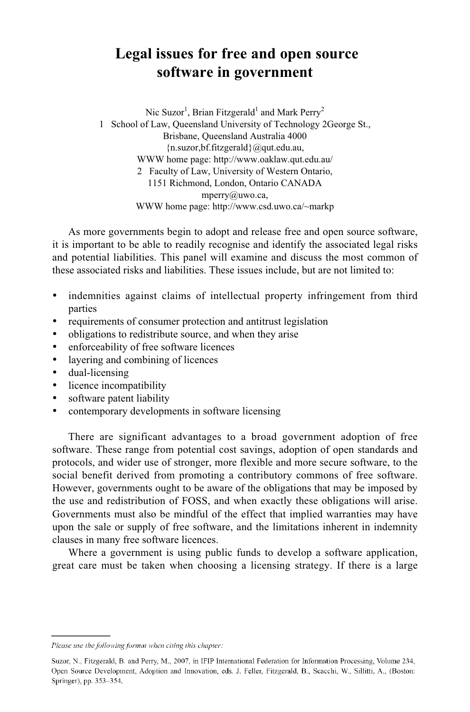## **Legal issues for free and open source software in government**

Nic Suzor<sup>1</sup>, Brian Fitzgerald<sup>1</sup> and Mark Perry<sup>2</sup> 1 School of Law, Queensland University of Technology 2George St., Brisbane, Queensland Australia 4000 {n.suzor,bf.fitzgerald}@qut.edu.au, WWW home page: http://www.oaklaw.qut.edu.au/ 2 Faculty of Law, University of Western Ontario, 1151 Richmond, London, Ontario CANADA mperry@uwo.ca, WWW home page: http://www.csd.uwo.ca/~markp

As more governments begin to adopt and release free and open source software, it is important to be able to readily recognise and identify the associated legal risks and potential liabilities. This panel will examine and discuss the most common of these associated risks and liabilities. These issues include, but are not limited to:

- indemnities against claims of intellectual property infringement from third parties
- requirements of consumer protection and antitrust legislation
- obligations to redistribute source, and when they arise
- enforceability of free software licences
- layering and combining of licences
- dual-licensing
- licence incompatibility
- software patent liability
- contemporary developments in software licensing

There are significant advantages to a broad government adoption of free software. These range from potential cost savings, adoption of open standards and protocols, and wider use of stronger, more flexible and more secure software, to the social benefit derived from promoting a contributory commons of free software. However, governments ought to be aware of the obligations that may be imposed by the use and redistribution of FOSS, and when exactly these obligations will arise. Governments must also be mindful of the effect that implied warranties may have upon the sale or supply of free software, and the limitations inherent in indemnity clauses in many free software licences.

Where a government is using public funds to develop a software application, great care must be taken when choosing a licensing strategy. If there is a large

Please use the following format when citing this chapter:

Suzor, N., Fitzgerald, B. and Perry, M., 2007, in IFIP International Federation for Information Processing, Volume 234, Open Source Development, Adoption and Innovation, eds. J. Feller, Fitzgerald, B., Scacchi, W., Sillitti, A., (Boston: Springer), pp. 353-354.